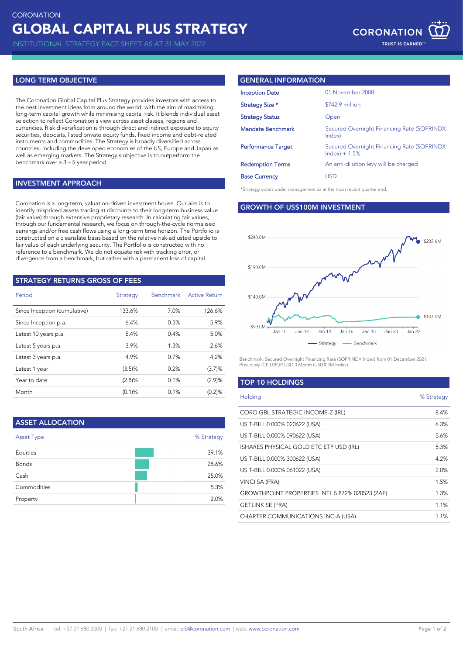INSTITUTIONAL STRATEGY FACT SHEET AS AT 31 MAY 2022

# **LONG TERM OBJECTIVE**

The Coronation Global Capital Plus Strategy provides investors with access to the best investment ideas from around the world, with the aim of maximising long-term capital growth while minimising capital risk. It blends individual asset selection to reflect Coronation's view across asset classes, regions and currencies. Risk diversification is through direct and indirect exposure to equity securities, deposits, listed private equity funds, fixed income and debt-related instruments and commodities. The Strategy is broadly diversified across countries, including the developed economies of the US, Europe and Japan as well as emerging markets. The Strategy's objective is to outperform the benchmark over a 3 – 5 year period.

### **INVESTMENT APPROACH**

Coronation is a long-term, valuation-driven investment house. Our aim is to identify mispriced assets trading at discounts to their long-term business value (fair value) through extensive proprietary research. In calculating fair values, through our fundamental research, we focus on through-the-cycle normalised earnings and/or free cash flows using a long-term time horizon. The Portfolio is constructed on a cleanslate basis based on the relative risk-adjusted upside to fair value of each underlying security. The Portfolio is constructed with no reference to a benchmark. We do not equate risk with tracking error, or divergence from a benchmark, but rather with a permanent loss of capital.

# **STRATEGY RETURNS GROSS OF FEES**

| Period                       | <b>Strategy</b> | <b>Benchmark</b> | <b>Active Return</b> |
|------------------------------|-----------------|------------------|----------------------|
| Since Inception (cumulative) | 133.6%          | 7.0%             | 126.6%               |
| Since Inception p.a.         | 6.4%            | 0.5%             | 5.9%                 |
| Latest 10 years p.a.         | 5.4%            | 0.4%             | 5.0%                 |
| Latest 5 years p.a.          | 3.9%            | 1.3%             | 2.6%                 |
| Latest 3 years p.a.          | 4.9%            | 0.7%             | 4.2%                 |
| Latest 1 year                | (3.5)%          | 0.2%             | (3.7)%               |
| Year to date                 | (2.8)%          | 0.1%             | (2.9)%               |
| Month                        | $(0.1)$ %       | 0.1%             | (0.2)%               |

| <b>ASSET ALLOCATION</b> |            |
|-------------------------|------------|
| <b>Asset Type</b>       | % Strategy |
| Equities                | 39.1%      |
| <b>Bonds</b>            | 28.6%      |
| Cash                    | 25.0%      |
| Commodities             | 5.3%       |
| Property                | 2.0%       |

### **GENERAL INFORMATION**

| <b>Inception Date</b>     | 01 November 2008                                               |
|---------------------------|----------------------------------------------------------------|
| Strategy Size *           | \$742.9 million                                                |
| Strategy Status           | Open                                                           |
| <b>Mandate Benchmark</b>  | Secured Overnight Financing Rate (SOFRINDX)<br>Index)          |
| <b>Performance Target</b> | Secured Overnight Financing Rate (SOFRINDX)<br>$Index) + 1.5%$ |
| <b>Redemption Terms</b>   | An anti-dilution levy will be charged                          |
| <b>Base Currency</b>      | USD                                                            |

\*Strategy assets under management as at the most recent quarter end.

### **GROWTH OF US\$100M INVESTMENT**



Benchmark: Secured Overnight Financing Rate (SOFRINDX Index) from 01 December 2021. Previously ICE LIBOR USD 3 Month (US0003M Index).

# **TOP 10 HOLDINGS**

| Holding                                         | % Strategy |
|-------------------------------------------------|------------|
| CORO GBL STRATEGIC INCOME-Z (IRL)               | 8.4%       |
| US T-BILL 0.000% 020622 (USA)                   | 6.3%       |
| US T-BILL 0.000% 090622 (USA)                   | 5.6%       |
| ISHARES PHYSICAL GOLD ETC ETP USD (IRL)         | 5.3%       |
| US T-BILL 0.000% 300622 (USA)                   | 4.2%       |
| US T-BILL 0.000% 061022 (USA)                   | 2.0%       |
| VINCI SA (FRA)                                  | 1.5%       |
| GROWTHPOINT PROPERTIES INTL 5.872% 020523 (ZAF) | 1.3%       |
| <b>GETLINK SE (FRA)</b>                         | 1.1%       |
| CHARTER COMMUNICATIONS INC-A (USA)              | 1.1%       |